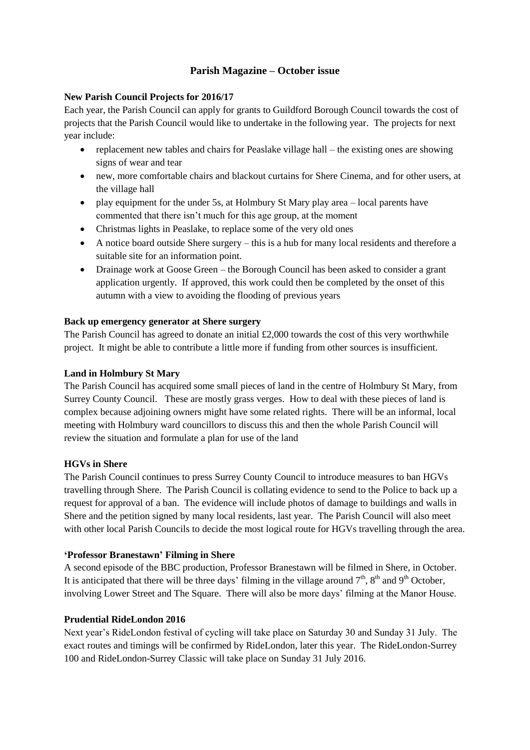# **Parish Magazine – October issue**

## **New Parish Council Projects for 2016/17**

Each year, the Parish Council can apply for grants to Guildford Borough Council towards the cost of projects that the Parish Council would like to undertake in the following year. The projects for next year include:

- replacement new tables and chairs for Peaslake village hall the existing ones are showing signs of wear and tear
- new, more comfortable chairs and blackout curtains for Shere Cinema, and for other users, at the village hall
- play equipment for the under 5s, at Holmbury St Mary play area local parents have commented that there isn't much for this age group, at the moment
- Christmas lights in Peaslake, to replace some of the very old ones
- A notice board outside Shere surgery this is a hub for many local residents and therefore a suitable site for an information point.
- Drainage work at Goose Green the Borough Council has been asked to consider a grant application urgently. If approved, this work could then be completed by the onset of this autumn with a view to avoiding the flooding of previous years

### **Back up emergency generator at Shere surgery**

The Parish Council has agreed to donate an initial £2,000 towards the cost of this very worthwhile project. It might be able to contribute a little more if funding from other sources is insufficient.

## **Land in Holmbury St Mary**

The Parish Council has acquired some small pieces of land in the centre of Holmbury St Mary, from Surrey County Council. These are mostly grass verges. How to deal with these pieces of land is complex because adjoining owners might have some related rights. There will be an informal, local meeting with Holmbury ward councillors to discuss this and then the whole Parish Council will review the situation and formulate a plan for use of the land

#### **HGVs in Shere**

The Parish Council continues to press Surrey County Council to introduce measures to ban HGVs travelling through Shere. The Parish Council is collating evidence to send to the Police to back up a request for approval of a ban. The evidence will include photos of damage to buildings and walls in Shere and the petition signed by many local residents, last year. The Parish Council will also meet with other local Parish Councils to decide the most logical route for HGVs travelling through the area.

### **'Professor Branestawn' Filming in Shere**

A second episode of the BBC production, Professor Branestawn will be filmed in Shere, in October. It is anticipated that there will be three days' filming in the village around  $7<sup>th</sup>$ ,  $8<sup>th</sup>$  and  $9<sup>th</sup>$  October, involving Lower Street and The Square. There will also be more days' filming at the Manor House.

#### **Prudential RideLondon 2016**

Next year's RideLondon festival of cycling will take place on Saturday 30 and Sunday 31 July. The exact routes and timings will be confirmed by RideLondon, later this year. The RideLondon-Surrey 100 and RideLondon-Surrey Classic will take place on Sunday 31 July 2016.